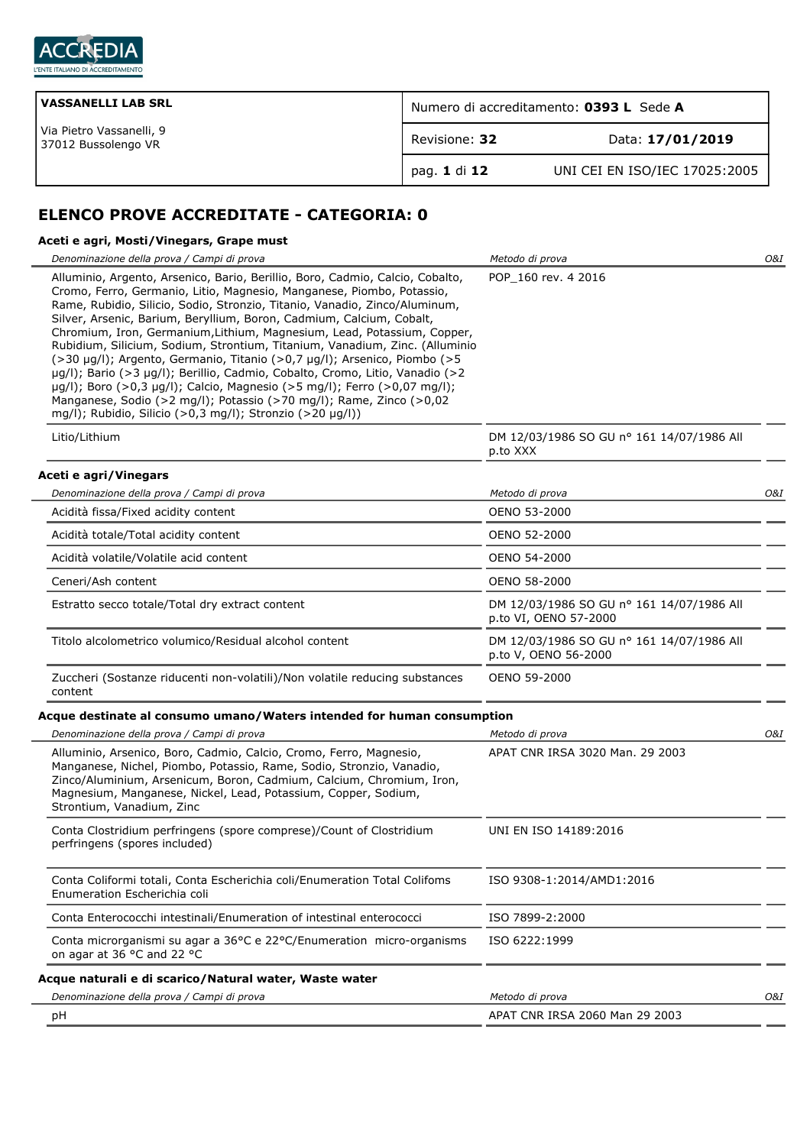

| <b>VASSANELLI LAB SRL</b>                       | Numero di accreditamento: 0393 L Sede A |                               |
|-------------------------------------------------|-----------------------------------------|-------------------------------|
| Via Pietro Vassanelli, 9<br>37012 Bussolengo VR | Revisione: 32                           | Data: 17/01/2019              |
|                                                 | pag. 1 di 12                            | UNI CEI EN ISO/IEC 17025:2005 |

# **ELENCO PROVE ACCREDITATE - CATEGORIA: 0**

# **Aceti e agri, Mosti/Vinegars, Grape must**

| Denominazione della prova / Campi di prova                                                                                                                                                                                                                                                                                                                                                                                                                                                                                                                                                                                                                                                                                                                                                                                                         | Metodo di prova                                                    | O&I |
|----------------------------------------------------------------------------------------------------------------------------------------------------------------------------------------------------------------------------------------------------------------------------------------------------------------------------------------------------------------------------------------------------------------------------------------------------------------------------------------------------------------------------------------------------------------------------------------------------------------------------------------------------------------------------------------------------------------------------------------------------------------------------------------------------------------------------------------------------|--------------------------------------------------------------------|-----|
| Alluminio, Argento, Arsenico, Bario, Berillio, Boro, Cadmio, Calcio, Cobalto,<br>Cromo, Ferro, Germanio, Litio, Magnesio, Manganese, Piombo, Potassio,<br>Rame, Rubidio, Silicio, Sodio, Stronzio, Titanio, Vanadio, Zinco/Aluminum,<br>Silver, Arsenic, Barium, Beryllium, Boron, Cadmium, Calcium, Cobalt,<br>Chromium, Iron, Germanium, Lithium, Magnesium, Lead, Potassium, Copper,<br>Rubidium, Silicium, Sodium, Strontium, Titanium, Vanadium, Zinc. (Alluminio<br>(>30 µg/l); Argento, Germanio, Titanio (>0,7 µg/l); Arsenico, Piombo (>5<br>µg/l); Bario (>3 µg/l); Berillio, Cadmio, Cobalto, Cromo, Litio, Vanadio (>2<br>µg/l); Boro (>0,3 µg/l); Calcio, Magnesio (>5 mg/l); Ferro (>0,07 mg/l);<br>Manganese, Sodio (>2 mg/l); Potassio (>70 mg/l); Rame, Zinco (>0,02<br>mg/l); Rubidio, Silicio (>0,3 mg/l); Stronzio (>20 µg/l)) | POP 160 rev. 4 2016                                                |     |
| Litio/Lithium                                                                                                                                                                                                                                                                                                                                                                                                                                                                                                                                                                                                                                                                                                                                                                                                                                      | DM 12/03/1986 SO GU nº 161 14/07/1986 All<br>p.to XXX              |     |
| Aceti e agri/Vinegars                                                                                                                                                                                                                                                                                                                                                                                                                                                                                                                                                                                                                                                                                                                                                                                                                              |                                                                    |     |
| Denominazione della prova / Campi di prova                                                                                                                                                                                                                                                                                                                                                                                                                                                                                                                                                                                                                                                                                                                                                                                                         | Metodo di prova                                                    | O&I |
| Acidità fissa/Fixed acidity content                                                                                                                                                                                                                                                                                                                                                                                                                                                                                                                                                                                                                                                                                                                                                                                                                | OENO 53-2000                                                       |     |
| Acidità totale/Total acidity content                                                                                                                                                                                                                                                                                                                                                                                                                                                                                                                                                                                                                                                                                                                                                                                                               | OENO 52-2000                                                       |     |
| Acidità volatile/Volatile acid content                                                                                                                                                                                                                                                                                                                                                                                                                                                                                                                                                                                                                                                                                                                                                                                                             | OENO 54-2000                                                       |     |
| Ceneri/Ash content                                                                                                                                                                                                                                                                                                                                                                                                                                                                                                                                                                                                                                                                                                                                                                                                                                 | OENO 58-2000                                                       |     |
| Estratto secco totale/Total dry extract content                                                                                                                                                                                                                                                                                                                                                                                                                                                                                                                                                                                                                                                                                                                                                                                                    | DM 12/03/1986 SO GU nº 161 14/07/1986 All<br>p.to VI, OENO 57-2000 |     |
| Titolo alcolometrico volumico/Residual alcohol content                                                                                                                                                                                                                                                                                                                                                                                                                                                                                                                                                                                                                                                                                                                                                                                             | DM 12/03/1986 SO GU nº 161 14/07/1986 All<br>p.to V, OENO 56-2000  |     |
| Zuccheri (Sostanze riducenti non-volatili)/Non volatile reducing substances<br>content                                                                                                                                                                                                                                                                                                                                                                                                                                                                                                                                                                                                                                                                                                                                                             | OENO 59-2000                                                       |     |
| Acque destinate al consumo umano/Waters intended for human consumption                                                                                                                                                                                                                                                                                                                                                                                                                                                                                                                                                                                                                                                                                                                                                                             |                                                                    |     |
| Denominazione della prova / Campi di prova                                                                                                                                                                                                                                                                                                                                                                                                                                                                                                                                                                                                                                                                                                                                                                                                         | Metodo di prova                                                    | O&I |
| Alluminio, Arsenico, Boro, Cadmio, Calcio, Cromo, Ferro, Magnesio,<br>Manganese, Nichel, Piombo, Potassio, Rame, Sodio, Stronzio, Vanadio,<br>Zinco/Aluminium, Arsenicum, Boron, Cadmium, Calcium, Chromium, Iron,<br>Magnesium, Manganese, Nickel, Lead, Potassium, Copper, Sodium,<br>Strontium, Vanadium, Zinc                                                                                                                                                                                                                                                                                                                                                                                                                                                                                                                                  | APAT CNR IRSA 3020 Man. 29 2003                                    |     |
| Conta Clostridium perfringens (spore comprese)/Count of Clostridium<br>perfringens (spores included)                                                                                                                                                                                                                                                                                                                                                                                                                                                                                                                                                                                                                                                                                                                                               | UNI EN ISO 14189:2016                                              |     |
| Conta Coliformi totali, Conta Escherichia coli/Enumeration Total Colifoms<br>Enumeration Escherichia coli                                                                                                                                                                                                                                                                                                                                                                                                                                                                                                                                                                                                                                                                                                                                          | ISO 9308-1:2014/AMD1:2016                                          |     |
| Conta Enterococchi intestinali/Enumeration of intestinal enterococci                                                                                                                                                                                                                                                                                                                                                                                                                                                                                                                                                                                                                                                                                                                                                                               | ISO 7899-2:2000                                                    |     |
| Conta microrganismi su agar a 36°C e 22°C/Enumeration micro-organisms<br>on agar at 36 °C and 22 °C                                                                                                                                                                                                                                                                                                                                                                                                                                                                                                                                                                                                                                                                                                                                                | ISO 6222:1999                                                      |     |
| Acque naturali e di scarico/Natural water, Waste water                                                                                                                                                                                                                                                                                                                                                                                                                                                                                                                                                                                                                                                                                                                                                                                             |                                                                    |     |
| Denominazione della prova / Campi di prova                                                                                                                                                                                                                                                                                                                                                                                                                                                                                                                                                                                                                                                                                                                                                                                                         | Metodo di prova                                                    | O&I |
| рH                                                                                                                                                                                                                                                                                                                                                                                                                                                                                                                                                                                                                                                                                                                                                                                                                                                 | APAT CNR IRSA 2060 Man 29 2003                                     |     |
|                                                                                                                                                                                                                                                                                                                                                                                                                                                                                                                                                                                                                                                                                                                                                                                                                                                    |                                                                    |     |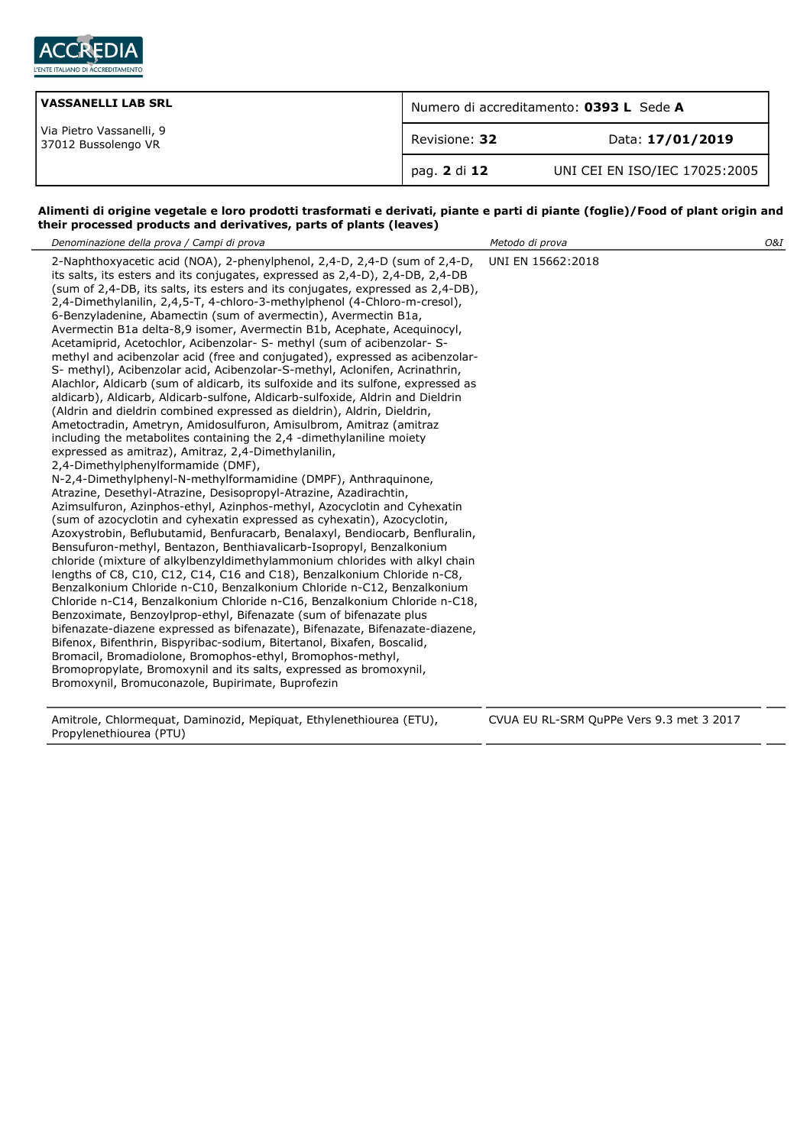

| <b>VASSANELLI LAB SRL</b>                       | Numero di accreditamento: 0393 L Sede A |                               |
|-------------------------------------------------|-----------------------------------------|-------------------------------|
| Via Pietro Vassanelli, 9<br>37012 Bussolengo VR | Revisione: 32                           | Data: 17/01/2019              |
|                                                 | pag. 2 di 12                            | UNI CEI EN ISO/IEC 17025:2005 |

### **Alimenti di origine vegetale e loro prodotti trasformati e derivati, piante e parti di piante (foglie)/Food of plant origin and their processed products and derivatives, parts of plants (leaves)**

| Denominazione della prova / Campi di prova                                                                                                                                                                                                                                                                                                                                                                                                                                                                                                                                                                                                                                                                                                                                                                                                                                                                                                                                                                                                                                                                                                                                                                                                                                                                                                                                                                                                                                                                                                                                                                                                                                                                                                                                                                                                                                                                                                                                                                                                                                                                                                                                                                                                                                                                                                                                                                      | Metodo di prova                          | O&I |
|-----------------------------------------------------------------------------------------------------------------------------------------------------------------------------------------------------------------------------------------------------------------------------------------------------------------------------------------------------------------------------------------------------------------------------------------------------------------------------------------------------------------------------------------------------------------------------------------------------------------------------------------------------------------------------------------------------------------------------------------------------------------------------------------------------------------------------------------------------------------------------------------------------------------------------------------------------------------------------------------------------------------------------------------------------------------------------------------------------------------------------------------------------------------------------------------------------------------------------------------------------------------------------------------------------------------------------------------------------------------------------------------------------------------------------------------------------------------------------------------------------------------------------------------------------------------------------------------------------------------------------------------------------------------------------------------------------------------------------------------------------------------------------------------------------------------------------------------------------------------------------------------------------------------------------------------------------------------------------------------------------------------------------------------------------------------------------------------------------------------------------------------------------------------------------------------------------------------------------------------------------------------------------------------------------------------------------------------------------------------------------------------------------------------|------------------------------------------|-----|
| 2-Naphthoxyacetic acid (NOA), 2-phenylphenol, 2,4-D, 2,4-D (sum of 2,4-D,<br>its salts, its esters and its conjugates, expressed as 2,4-D), 2,4-DB, 2,4-DB<br>(sum of 2,4-DB, its salts, its esters and its conjugates, expressed as 2,4-DB),<br>2,4-Dimethylanilin, 2,4,5-T, 4-chloro-3-methylphenol (4-Chloro-m-cresol),<br>6-Benzyladenine, Abamectin (sum of avermectin), Avermectin B1a,<br>Avermectin B1a delta-8,9 isomer, Avermectin B1b, Acephate, Acequinocyl,<br>Acetamiprid, Acetochlor, Acibenzolar- S- methyl (sum of acibenzolar- S-<br>methyl and acibenzolar acid (free and conjugated), expressed as acibenzolar-<br>S- methyl), Acibenzolar acid, Acibenzolar-S-methyl, Aclonifen, Acrinathrin,<br>Alachlor, Aldicarb (sum of aldicarb, its sulfoxide and its sulfone, expressed as<br>aldicarb), Aldicarb, Aldicarb-sulfone, Aldicarb-sulfoxide, Aldrin and Dieldrin<br>(Aldrin and dieldrin combined expressed as dieldrin), Aldrin, Dieldrin,<br>Ametoctradin, Ametryn, Amidosulfuron, Amisulbrom, Amitraz (amitraz<br>including the metabolites containing the 2,4 -dimethylaniline moiety<br>expressed as amitraz), Amitraz, 2,4-Dimethylanilin,<br>2,4-Dimethylphenylformamide (DMF),<br>N-2,4-Dimethylphenyl-N-methylformamidine (DMPF), Anthraquinone,<br>Atrazine, Desethyl-Atrazine, Desisopropyl-Atrazine, Azadirachtin,<br>Azimsulfuron, Azinphos-ethyl, Azinphos-methyl, Azocyclotin and Cyhexatin<br>(sum of azocyclotin and cyhexatin expressed as cyhexatin), Azocyclotin,<br>Azoxystrobin, Beflubutamid, Benfuracarb, Benalaxyl, Bendiocarb, Benfluralin,<br>Bensufuron-methyl, Bentazon, Benthiavalicarb-Isopropyl, Benzalkonium<br>chloride (mixture of alkylbenzyldimethylammonium chlorides with alkyl chain<br>lengths of C8, C10, C12, C14, C16 and C18), Benzalkonium Chloride n-C8,<br>Benzalkonium Chloride n-C10, Benzalkonium Chloride n-C12, Benzalkonium<br>Chloride n-C14, Benzalkonium Chloride n-C16, Benzalkonium Chloride n-C18,<br>Benzoximate, Benzoylprop-ethyl, Bifenazate (sum of bifenazate plus<br>bifenazate-diazene expressed as bifenazate), Bifenazate, Bifenazate-diazene,<br>Bifenox, Bifenthrin, Bispyribac-sodium, Bitertanol, Bixafen, Boscalid,<br>Bromacil, Bromadiolone, Bromophos-ethyl, Bromophos-methyl,<br>Bromopropylate, Bromoxynil and its salts, expressed as bromoxynil,<br>Bromoxynil, Bromuconazole, Bupirimate, Buprofezin | UNI EN 15662:2018                        |     |
| Amitrole, Chlormequat, Daminozid, Mepiquat, Ethylenethiourea (ETU),                                                                                                                                                                                                                                                                                                                                                                                                                                                                                                                                                                                                                                                                                                                                                                                                                                                                                                                                                                                                                                                                                                                                                                                                                                                                                                                                                                                                                                                                                                                                                                                                                                                                                                                                                                                                                                                                                                                                                                                                                                                                                                                                                                                                                                                                                                                                             | CVUA EU RL-SRM QuPPe Vers 9.3 met 3 2017 |     |

Propylenethiourea (PTU)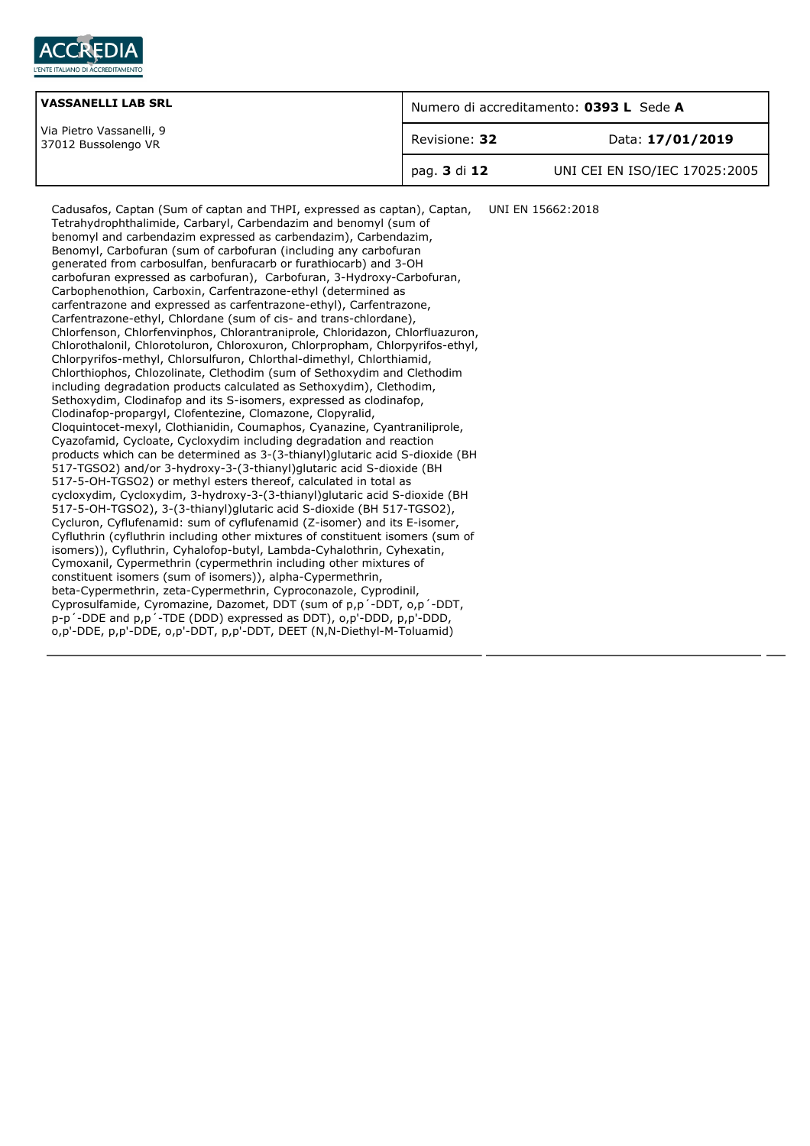

| <b>VASSANELLI LAB SRL</b><br>Via Pietro Vassanelli, 9<br>37012 Bussolengo VR | Numero di accreditamento: 0393 L Sede A |                               |
|------------------------------------------------------------------------------|-----------------------------------------|-------------------------------|
|                                                                              | Revisione: 32                           | Data: 17/01/2019              |
|                                                                              | pag. <b>3</b> di 12                     | UNI CEI EN ISO/IEC 17025:2005 |

Cadusafos, Captan (Sum of captan and THPI, expressed as captan), Captan, Tetrahydrophthalimide, Carbaryl, Carbendazim and benomyl (sum of benomyl and carbendazim expressed as carbendazim), Carbendazim, Benomyl, Carbofuran (sum of carbofuran (including any carbofuran generated from carbosulfan, benfuracarb or furathiocarb) and 3-OH carbofuran expressed as carbofuran), Carbofuran, 3-Hydroxy-Carbofuran, Carbophenothion, Carboxin, Carfentrazone-ethyl (determined as carfentrazone and expressed as carfentrazone-ethyl), Carfentrazone, Carfentrazone-ethyl, Chlordane (sum of cis- and trans-chlordane), Chlorfenson, Chlorfenvinphos, Chlorantraniprole, Chloridazon, Chlorfluazuron, Chlorothalonil, Chlorotoluron, Chloroxuron, Chlorpropham, Chlorpyrifos-ethyl, Chlorpyrifos-methyl, Chlorsulfuron, Chlorthal-dimethyl, Chlorthiamid, Chlorthiophos, Chlozolinate, Clethodim (sum of Sethoxydim and Clethodim including degradation products calculated as Sethoxydim), Clethodim, Sethoxydim, Clodinafop and its S-isomers, expressed as clodinafop, Clodinafop-propargyl, Clofentezine, Clomazone, Clopyralid, Cloquintocet-mexyl, Clothianidin, Coumaphos, Cyanazine, Cyantraniliprole, Cyazofamid, Cycloate, Cycloxydim including degradation and reaction products which can be determined as 3-(3-thianyl)glutaric acid S-dioxide (BH 517-TGSO2) and/or 3-hydroxy-3-(3-thianyl)glutaric acid S-dioxide (BH 517-5-OH-TGSO2) or methyl esters thereof, calculated in total as cycloxydim, Cycloxydim, 3-hydroxy-3-(3-thianyl)glutaric acid S-dioxide (BH 517-5-OH-TGSO2), 3-(3-thianyl)glutaric acid S-dioxide (BH 517-TGSO2), Cycluron, Cyflufenamid: sum of cyflufenamid (Z-isomer) and its E-isomer, Cyfluthrin (cyfluthrin including other mixtures of constituent isomers (sum of isomers)), Cyfluthrin, Cyhalofop-butyl, Lambda-Cyhalothrin, Cyhexatin, Cymoxanil, Cypermethrin (cypermethrin including other mixtures of constituent isomers (sum of isomers)), alpha-Cypermethrin, beta-Cypermethrin, zeta-Cypermethrin, Cyproconazole, Cyprodinil, Cyprosulfamide, Cyromazine, Dazomet, DDT (sum of p,p´-DDT, o,p´-DDT, p-p´-DDE and p,p´-TDE (DDD) expressed as DDT), o,p'-DDD, p,p'-DDD, o,p'-DDE, p,p'-DDE, o,p'-DDT, p,p'-DDT, DEET (N,N-Diethyl-M-Toluamid) UNI EN 15662:2018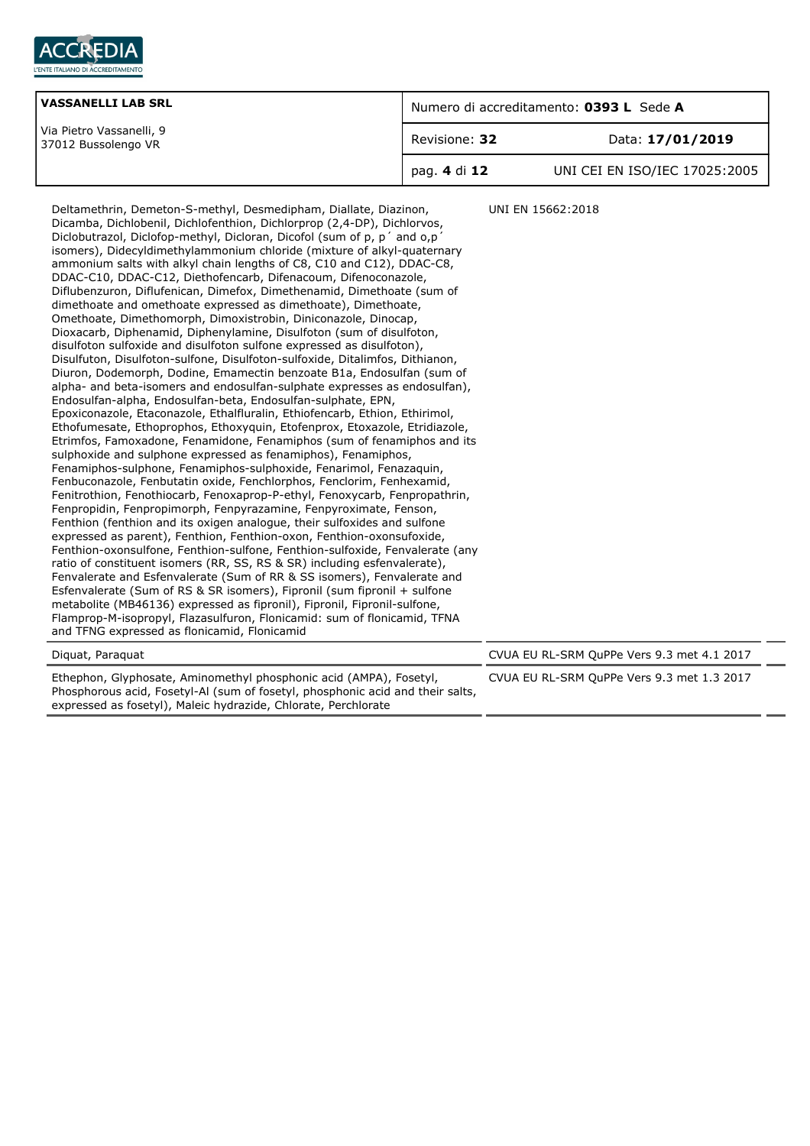

| <b>VASSANELLI LAB SRL</b><br>Via Pietro Vassanelli, 9<br>37012 Bussolengo VR | Numero di accreditamento: 0393 L Sede A |                               |
|------------------------------------------------------------------------------|-----------------------------------------|-------------------------------|
|                                                                              | Revisione: 32                           | Data: 17/01/2019              |
|                                                                              | pag. 4 di 12                            | UNI CEI EN ISO/IEC 17025:2005 |

Deltamethrin, Demeton-S-methyl, Desmedipham, Diallate, Diazinon, Dicamba, Dichlobenil, Dichlofenthion, Dichlorprop (2,4-DP), Dichlorvos, Diclobutrazol, Diclofop-methyl, Dicloran, Dicofol (sum of p, p´ and o,p´ isomers), Didecyldimethylammonium chloride (mixture of alkyl-quaternary ammonium salts with alkyl chain lengths of C8, C10 and C12), DDAC-C8, DDAC-C10, DDAC-C12, Diethofencarb, Difenacoum, Difenoconazole, Diflubenzuron, Diflufenican, Dimefox, Dimethenamid, Dimethoate (sum of dimethoate and omethoate expressed as dimethoate), Dimethoate, Omethoate, Dimethomorph, Dimoxistrobin, Diniconazole, Dinocap, Dioxacarb, Diphenamid, Diphenylamine, Disulfoton (sum of disulfoton, disulfoton sulfoxide and disulfoton sulfone expressed as disulfoton), Disulfuton, Disulfoton-sulfone, Disulfoton-sulfoxide, Ditalimfos, Dithianon, Diuron, Dodemorph, Dodine, Emamectin benzoate B1a, Endosulfan (sum of alpha- and beta-isomers and endosulfan-sulphate expresses as endosulfan), Endosulfan-alpha, Endosulfan-beta, Endosulfan-sulphate, EPN, Epoxiconazole, Etaconazole, Ethalfluralin, Ethiofencarb, Ethion, Ethirimol, Ethofumesate, Ethoprophos, Ethoxyquin, Etofenprox, Etoxazole, Etridiazole, Etrimfos, Famoxadone, Fenamidone, Fenamiphos (sum of fenamiphos and its sulphoxide and sulphone expressed as fenamiphos), Fenamiphos, Fenamiphos-sulphone, Fenamiphos-sulphoxide, Fenarimol, Fenazaquin, Fenbuconazole, Fenbutatin oxide, Fenchlorphos, Fenclorim, Fenhexamid, Fenitrothion, Fenothiocarb, Fenoxaprop-P-ethyl, Fenoxycarb, Fenpropathrin, Fenpropidin, Fenpropimorph, Fenpyrazamine, Fenpyroximate, Fenson, Fenthion (fenthion and its oxigen analogue, their sulfoxides and sulfone expressed as parent), Fenthion, Fenthion-oxon, Fenthion-oxonsufoxide, Fenthion-oxonsulfone, Fenthion-sulfone, Fenthion-sulfoxide, Fenvalerate (any ratio of constituent isomers (RR, SS, RS & SR) including esfenvalerate), Fenvalerate and Esfenvalerate (Sum of RR & SS isomers), Fenvalerate and Esfenvalerate (Sum of RS & SR isomers), Fipronil (sum fipronil + sulfone metabolite (MB46136) expressed as fipronil), Fipronil, Fipronil-sulfone, Flamprop-M-isopropyl, Flazasulfuron, Flonicamid: sum of flonicamid, TFNA and TFNG expressed as flonicamid, Flonicamid UNI EN 15662:2018 Diquat, Paraquat CVUA EU RL-SRM QuPPe Vers 9.3 met 4.1 2017

Ethephon, Glyphosate, Aminomethyl phosphonic acid (AMPA), Fosetyl, Phosphorous acid, Fosetyl-Al (sum of fosetyl, phosphonic acid and their salts, expressed as fosetyl), Maleic hydrazide, Chlorate, Perchlorate

CVUA EU RL-SRM QuPPe Vers 9.3 met 1.3 2017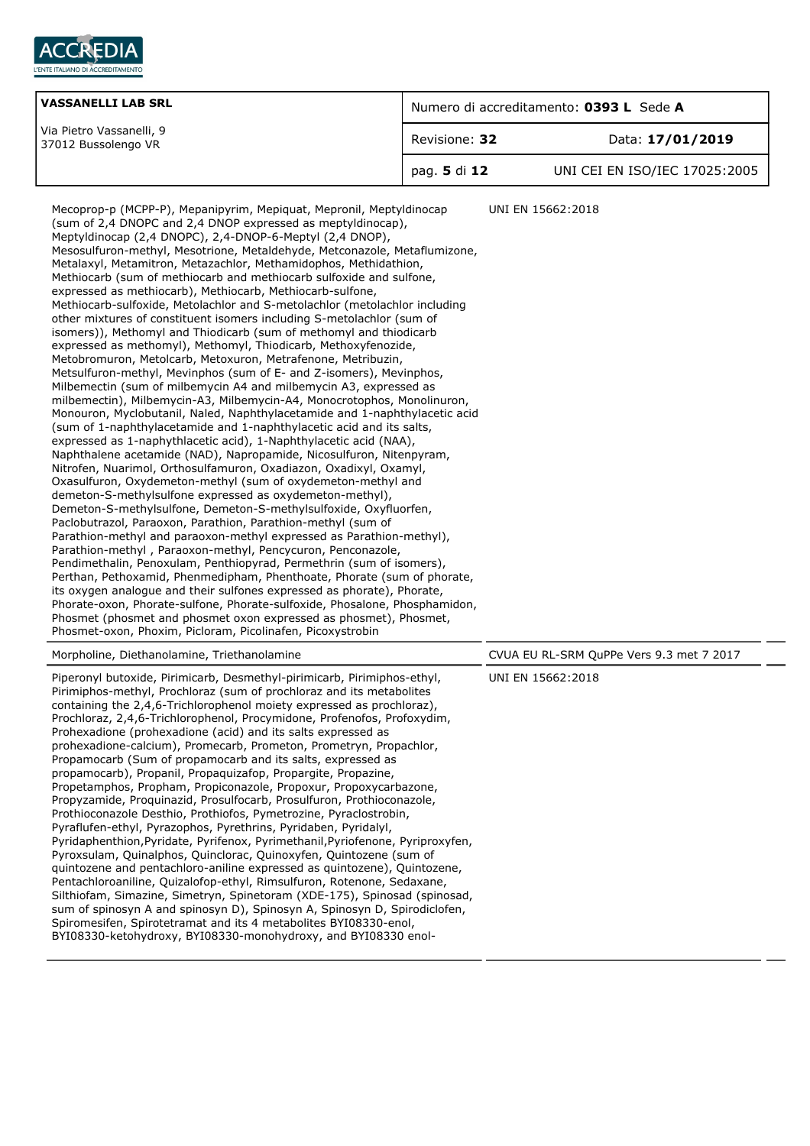

| <b>VASSANELLI LAB SRL</b>                       | Numero di accreditamento: 0393 L Sede A |                               |
|-------------------------------------------------|-----------------------------------------|-------------------------------|
| Via Pietro Vassanelli, 9<br>37012 Bussolengo VR | Revisione: 32                           | Data: 17/01/2019              |
|                                                 | pag. 5 di 12                            | UNI CEI EN ISO/IEC 17025:2005 |

Mecoprop-p (MCPP-P), Mepanipyrim, Mepiquat, Mepronil, Meptyldinocap (sum of 2,4 DNOPC and 2,4 DNOP expressed as meptyldinocap), Meptyldinocap (2,4 DNOPC), 2,4-DNOP-6-Meptyl (2,4 DNOP), Mesosulfuron-methyl, Mesotrione, Metaldehyde, Metconazole, Metaflumizone, Metalaxyl, Metamitron, Metazachlor, Methamidophos, Methidathion, Methiocarb (sum of methiocarb and methiocarb sulfoxide and sulfone, expressed as methiocarb), Methiocarb, Methiocarb-sulfone, Methiocarb-sulfoxide, Metolachlor and S-metolachlor (metolachlor including other mixtures of constituent isomers including S-metolachlor (sum of isomers)), Methomyl and Thiodicarb (sum of methomyl and thiodicarb expressed as methomyl), Methomyl, Thiodicarb, Methoxyfenozide, Metobromuron, Metolcarb, Metoxuron, Metrafenone, Metribuzin, Metsulfuron-methyl, Mevinphos (sum of E- and Z-isomers), Mevinphos, Milbemectin (sum of milbemycin A4 and milbemycin A3, expressed as milbemectin), Milbemycin-A3, Milbemycin-A4, Monocrotophos, Monolinuron, Monouron, Myclobutanil, Naled, Naphthylacetamide and 1-naphthylacetic acid (sum of 1-naphthylacetamide and 1-naphthylacetic acid and its salts, expressed as 1-naphythlacetic acid), 1-Naphthylacetic acid (NAA), Naphthalene acetamide (NAD), Napropamide, Nicosulfuron, Nitenpyram, Nitrofen, Nuarimol, Orthosulfamuron, Oxadiazon, Oxadixyl, Oxamyl, Oxasulfuron, Oxydemeton-methyl (sum of oxydemeton-methyl and demeton-S-methylsulfone expressed as oxydemeton-methyl), Demeton-S-methylsulfone, Demeton-S-methylsulfoxide, Oxyfluorfen, Paclobutrazol, Paraoxon, Parathion, Parathion-methyl (sum of Parathion-methyl and paraoxon-methyl expressed as Parathion-methyl), Parathion-methyl , Paraoxon-methyl, Pencycuron, Penconazole, Pendimethalin, Penoxulam, Penthiopyrad, Permethrin (sum of isomers), Perthan, Pethoxamid, Phenmedipham, Phenthoate, Phorate (sum of phorate, its oxygen analogue and their sulfones expressed as phorate), Phorate, Phorate-oxon, Phorate-sulfone, Phorate-sulfoxide, Phosalone, Phosphamidon, Phosmet (phosmet and phosmet oxon expressed as phosmet), Phosmet, Phosmet-oxon, Phoxim, Picloram, Picolinafen, Picoxystrobin UNI EN 15662:2018 Morpholine, Diethanolamine, Triethanolamine CVUA EU RL-SRM QuPPe Vers 9.3 met 7 2017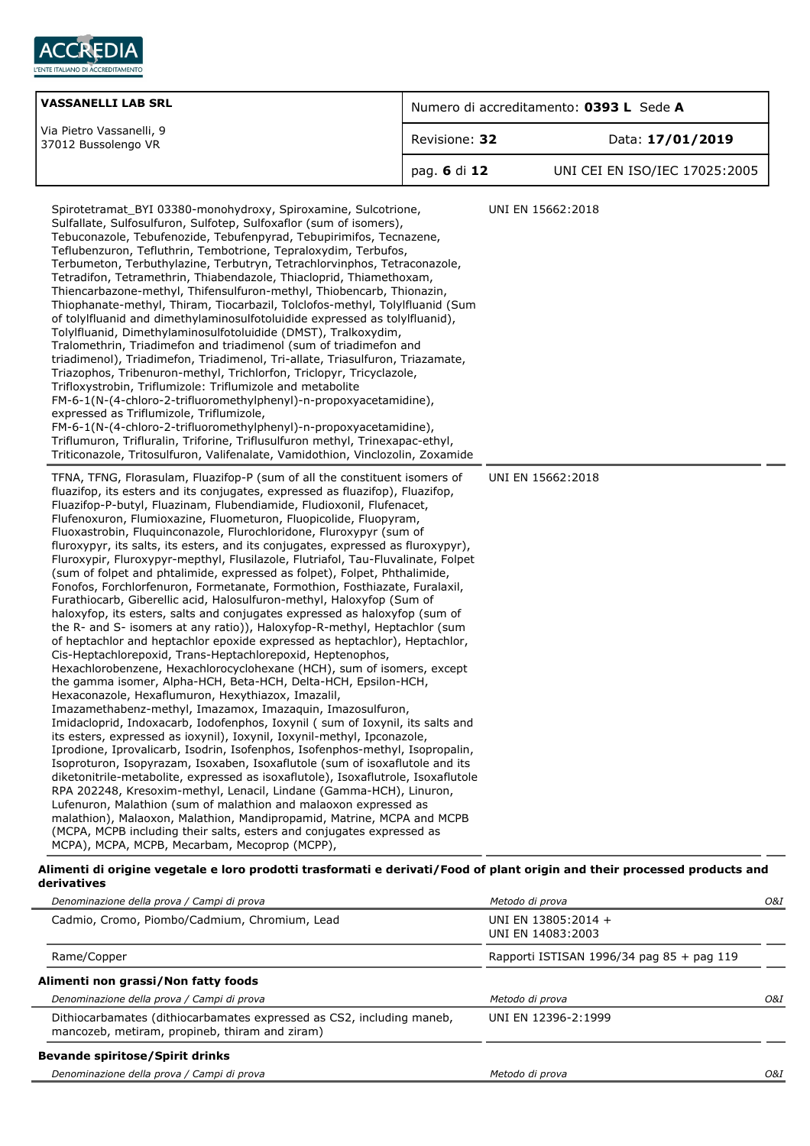

|               | Numero di accreditamento: 0393 L Sede A                                                                                                                                                                                                                                                                                                                                                                                                                                                                                                                                                                                                                                                                                                                                                                                                                                                                                                                                                                                                                                                                                                                                                                                                                                                                                                                                                                                                                                                                                                                                                                                                                                                                                                                                                                                                                                                                                                                                                                                                                                                                                                                                                                                                                                                                                                                                                                                                                                                                                                                                                                                                                                                                                                                                                                                                                                   |  |
|---------------|---------------------------------------------------------------------------------------------------------------------------------------------------------------------------------------------------------------------------------------------------------------------------------------------------------------------------------------------------------------------------------------------------------------------------------------------------------------------------------------------------------------------------------------------------------------------------------------------------------------------------------------------------------------------------------------------------------------------------------------------------------------------------------------------------------------------------------------------------------------------------------------------------------------------------------------------------------------------------------------------------------------------------------------------------------------------------------------------------------------------------------------------------------------------------------------------------------------------------------------------------------------------------------------------------------------------------------------------------------------------------------------------------------------------------------------------------------------------------------------------------------------------------------------------------------------------------------------------------------------------------------------------------------------------------------------------------------------------------------------------------------------------------------------------------------------------------------------------------------------------------------------------------------------------------------------------------------------------------------------------------------------------------------------------------------------------------------------------------------------------------------------------------------------------------------------------------------------------------------------------------------------------------------------------------------------------------------------------------------------------------------------------------------------------------------------------------------------------------------------------------------------------------------------------------------------------------------------------------------------------------------------------------------------------------------------------------------------------------------------------------------------------------------------------------------------------------------------------------------------------------|--|
| Revisione: 32 | Data: 17/01/2019                                                                                                                                                                                                                                                                                                                                                                                                                                                                                                                                                                                                                                                                                                                                                                                                                                                                                                                                                                                                                                                                                                                                                                                                                                                                                                                                                                                                                                                                                                                                                                                                                                                                                                                                                                                                                                                                                                                                                                                                                                                                                                                                                                                                                                                                                                                                                                                                                                                                                                                                                                                                                                                                                                                                                                                                                                                          |  |
| pag. 6 di 12  | UNI CEI EN ISO/IEC 17025:2005                                                                                                                                                                                                                                                                                                                                                                                                                                                                                                                                                                                                                                                                                                                                                                                                                                                                                                                                                                                                                                                                                                                                                                                                                                                                                                                                                                                                                                                                                                                                                                                                                                                                                                                                                                                                                                                                                                                                                                                                                                                                                                                                                                                                                                                                                                                                                                                                                                                                                                                                                                                                                                                                                                                                                                                                                                             |  |
|               | UNI EN 15662:2018<br>UNI EN 15662:2018                                                                                                                                                                                                                                                                                                                                                                                                                                                                                                                                                                                                                                                                                                                                                                                                                                                                                                                                                                                                                                                                                                                                                                                                                                                                                                                                                                                                                                                                                                                                                                                                                                                                                                                                                                                                                                                                                                                                                                                                                                                                                                                                                                                                                                                                                                                                                                                                                                                                                                                                                                                                                                                                                                                                                                                                                                    |  |
|               | Spirotetramat BYI 03380-monohydroxy, Spiroxamine, Sulcotrione,<br>Sulfallate, Sulfosulfuron, Sulfotep, Sulfoxaflor (sum of isomers),<br>Tebuconazole, Tebufenozide, Tebufenpyrad, Tebupirimifos, Tecnazene,<br>Teflubenzuron, Tefluthrin, Tembotrione, Tepraloxydim, Terbufos,<br>Terbumeton, Terbuthylazine, Terbutryn, Tetrachlorvinphos, Tetraconazole,<br>Tetradifon, Tetramethrin, Thiabendazole, Thiacloprid, Thiamethoxam,<br>Thiencarbazone-methyl, Thifensulfuron-methyl, Thiobencarb, Thionazin,<br>Thiophanate-methyl, Thiram, Tiocarbazil, Tolclofos-methyl, Tolylfluanid (Sum<br>of tolylfluanid and dimethylaminosulfotoluidide expressed as tolylfluanid),<br>Tolylfluanid, Dimethylaminosulfotoluidide (DMST), Tralkoxydim,<br>Tralomethrin, Triadimefon and triadimenol (sum of triadimefon and<br>triadimenol), Triadimefon, Triadimenol, Tri-allate, Triasulfuron, Triazamate,<br>Triazophos, Tribenuron-methyl, Trichlorfon, Triclopyr, Tricyclazole,<br>FM-6-1(N-(4-chloro-2-trifluoromethylphenyl)-n-propoxyacetamidine),<br>FM-6-1(N-(4-chloro-2-trifluoromethylphenyl)-n-propoxyacetamidine),<br>Triflumuron, Trifluralin, Triforine, Triflusulfuron methyl, Trinexapac-ethyl,<br>Triticonazole, Tritosulfuron, Valifenalate, Vamidothion, Vinclozolin, Zoxamide<br>TFNA, TFNG, Florasulam, Fluazifop-P (sum of all the constituent isomers of<br>fluazifop, its esters and its conjugates, expressed as fluazifop), Fluazifop,<br>Fluazifop-P-butyl, Fluazinam, Flubendiamide, Fludioxonil, Flufenacet,<br>Flufenoxuron, Flumioxazine, Fluometuron, Fluopicolide, Fluopyram,<br>Fluoxastrobin, Fluquinconazole, Flurochloridone, Fluroxypyr (sum of<br>fluroxypyr, its salts, its esters, and its conjugates, expressed as fluroxypyr),<br>Fluroxypir, Fluroxypyr-mepthyl, Flusilazole, Flutriafol, Tau-Fluvalinate, Folpet<br>(sum of folpet and phtalimide, expressed as folpet), Folpet, Phthalimide,<br>Fonofos, Forchlorfenuron, Formetanate, Formothion, Fosthiazate, Furalaxil,<br>Furathiocarb, Giberellic acid, Halosulfuron-methyl, Haloxyfop (Sum of<br>haloxyfop, its esters, salts and conjugates expressed as haloxyfop (sum of<br>the R- and S- isomers at any ratio)), Haloxyfop-R-methyl, Heptachlor (sum<br>of heptachlor and heptachlor epoxide expressed as heptachlor), Heptachlor,<br>Hexachlorobenzene, Hexachlorocyclohexane (HCH), sum of isomers, except<br>the gamma isomer, Alpha-HCH, Beta-HCH, Delta-HCH, Epsilon-HCH,<br>Imazamethabenz-methyl, Imazamox, Imazaquin, Imazosulfuron,<br>Imidacloprid, Indoxacarb, Iodofenphos, Ioxynil ( sum of Ioxynil, its salts and<br>its esters, expressed as ioxynil), Ioxynil, Ioxynil-methyl, Ipconazole,<br>Iprodione, Iprovalicarb, Isodrin, Isofenphos, Isofenphos-methyl, Isopropalin,<br>Isoproturon, Isopyrazam, Isoxaben, Isoxaflutole (sum of isoxaflutole and its |  |

#### **Alimenti di origine vegetale e loro prodotti trasformati e derivati/Food of plant origin and their processed products and derivatives**

| Denominazione della prova / Campi di prova                                                                              | Metodo di prova                           | O&I |
|-------------------------------------------------------------------------------------------------------------------------|-------------------------------------------|-----|
| Cadmio, Cromo, Piombo/Cadmium, Chromium, Lead                                                                           | UNI EN 13805:2014 +<br>UNI EN 14083:2003  |     |
| Rame/Copper                                                                                                             | Rapporti ISTISAN 1996/34 pag 85 + pag 119 |     |
| Alimenti non grassi/Non fatty foods                                                                                     |                                           |     |
| Denominazione della prova / Campi di prova                                                                              | Metodo di prova                           | O&I |
| Dithiocarbamates (dithiocarbamates expressed as CS2, including maneb,<br>mancozeb, metiram, propineb, thiram and ziram) | UNI EN 12396-2:1999                       |     |
| <b>Bevande spiritose/Spirit drinks</b>                                                                                  |                                           |     |
| Denominazione della prova / Campi di prova                                                                              | Metodo di prova                           | O&I |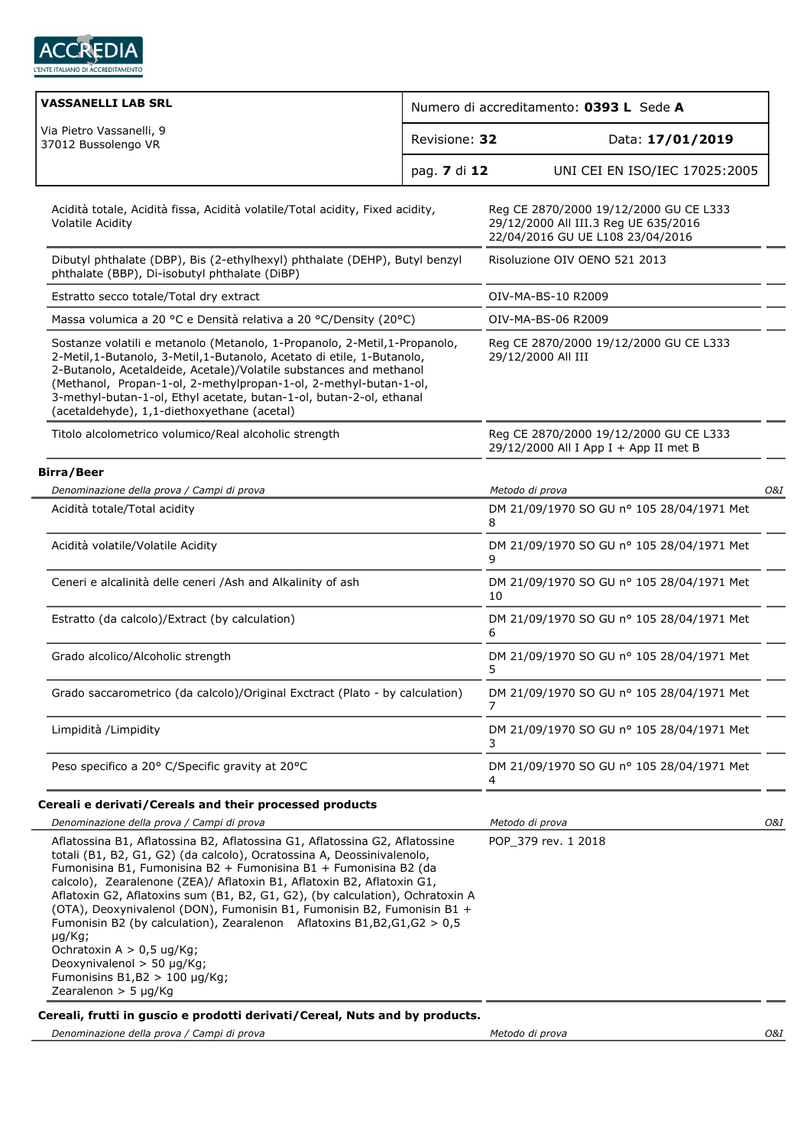

| <b>VASSANELLI LAB SRL</b><br>Numero di accreditamento: 0393 L Sede A                                                                                                                                                                                                                                                                                                                                                                                                                                                                                                                                                                                                                   |              |                                                                                                                    |  |
|----------------------------------------------------------------------------------------------------------------------------------------------------------------------------------------------------------------------------------------------------------------------------------------------------------------------------------------------------------------------------------------------------------------------------------------------------------------------------------------------------------------------------------------------------------------------------------------------------------------------------------------------------------------------------------------|--------------|--------------------------------------------------------------------------------------------------------------------|--|
| Via Pietro Vassanelli, 9<br>Revisione: 32<br>37012 Bussolengo VR                                                                                                                                                                                                                                                                                                                                                                                                                                                                                                                                                                                                                       |              | Data: 17/01/2019                                                                                                   |  |
|                                                                                                                                                                                                                                                                                                                                                                                                                                                                                                                                                                                                                                                                                        | pag. 7 di 12 | UNI CEI EN ISO/IEC 17025:2005                                                                                      |  |
| Acidità totale, Acidità fissa, Acidità volatile/Total acidity, Fixed acidity,<br>Volatile Acidity                                                                                                                                                                                                                                                                                                                                                                                                                                                                                                                                                                                      |              | Reg CE 2870/2000 19/12/2000 GU CE L333<br>29/12/2000 All III.3 Reg UE 635/2016<br>22/04/2016 GU UE L108 23/04/2016 |  |
| Dibutyl phthalate (DBP), Bis (2-ethylhexyl) phthalate (DEHP), Butyl benzyl<br>phthalate (BBP), Di-isobutyl phthalate (DiBP)                                                                                                                                                                                                                                                                                                                                                                                                                                                                                                                                                            |              | Risoluzione OIV OENO 521 2013                                                                                      |  |
| Estratto secco totale/Total dry extract                                                                                                                                                                                                                                                                                                                                                                                                                                                                                                                                                                                                                                                |              | OIV-MA-BS-10 R2009                                                                                                 |  |
| Massa volumica a 20 °C e Densità relativa a 20 °C/Density (20°C)                                                                                                                                                                                                                                                                                                                                                                                                                                                                                                                                                                                                                       |              | OIV-MA-BS-06 R2009                                                                                                 |  |
| Sostanze volatili e metanolo (Metanolo, 1-Propanolo, 2-Metil, 1-Propanolo,<br>2-Metil, 1-Butanolo, 3-Metil, 1-Butanolo, Acetato di etile, 1-Butanolo,<br>2-Butanolo, Acetaldeide, Acetale)/Volatile substances and methanol<br>(Methanol, Propan-1-ol, 2-methylpropan-1-ol, 2-methyl-butan-1-ol,<br>3-methyl-butan-1-ol, Ethyl acetate, butan-1-ol, butan-2-ol, ethanal<br>(acetaldehyde), 1,1-diethoxyethane (acetal)                                                                                                                                                                                                                                                                 |              | Reg CE 2870/2000 19/12/2000 GU CE L333<br>29/12/2000 All III                                                       |  |
| Titolo alcolometrico volumico/Real alcoholic strength                                                                                                                                                                                                                                                                                                                                                                                                                                                                                                                                                                                                                                  |              | Reg CE 2870/2000 19/12/2000 GU CE L333<br>29/12/2000 All I App I + App II met B                                    |  |
| <b>Birra/Beer</b>                                                                                                                                                                                                                                                                                                                                                                                                                                                                                                                                                                                                                                                                      |              |                                                                                                                    |  |
| Denominazione della prova / Campi di prova                                                                                                                                                                                                                                                                                                                                                                                                                                                                                                                                                                                                                                             |              | Metodo di prova<br>O&I                                                                                             |  |
| Acidità totale/Total acidity                                                                                                                                                                                                                                                                                                                                                                                                                                                                                                                                                                                                                                                           |              | DM 21/09/1970 SO GU nº 105 28/04/1971 Met<br>8                                                                     |  |
| Acidità volatile/Volatile Acidity                                                                                                                                                                                                                                                                                                                                                                                                                                                                                                                                                                                                                                                      |              | DM 21/09/1970 SO GU nº 105 28/04/1971 Met<br>9                                                                     |  |
| Ceneri e alcalinità delle ceneri /Ash and Alkalinity of ash                                                                                                                                                                                                                                                                                                                                                                                                                                                                                                                                                                                                                            |              | DM 21/09/1970 SO GU nº 105 28/04/1971 Met<br>10                                                                    |  |
| Estratto (da calcolo)/Extract (by calculation)                                                                                                                                                                                                                                                                                                                                                                                                                                                                                                                                                                                                                                         |              | DM 21/09/1970 SO GU nº 105 28/04/1971 Met<br>6                                                                     |  |
| Grado alcolico/Alcoholic strength                                                                                                                                                                                                                                                                                                                                                                                                                                                                                                                                                                                                                                                      |              | DM 21/09/1970 SO GU nº 105 28/04/1971 Met<br>5                                                                     |  |
| Grado saccarometrico (da calcolo)/Original Exctract (Plato - by calculation)                                                                                                                                                                                                                                                                                                                                                                                                                                                                                                                                                                                                           |              | DM 21/09/1970 SO GU nº 105 28/04/1971 Met<br>$\overline{7}$                                                        |  |
| Limpidità /Limpidity                                                                                                                                                                                                                                                                                                                                                                                                                                                                                                                                                                                                                                                                   |              | DM 21/09/1970 SO GU nº 105 28/04/1971 Met<br>3                                                                     |  |
| Peso specifico a 20° C/Specific gravity at 20°C                                                                                                                                                                                                                                                                                                                                                                                                                                                                                                                                                                                                                                        |              | DM 21/09/1970 SO GU nº 105 28/04/1971 Met<br>4                                                                     |  |
| Cereali e derivati/Cereals and their processed products                                                                                                                                                                                                                                                                                                                                                                                                                                                                                                                                                                                                                                |              |                                                                                                                    |  |
| Denominazione della prova / Campi di prova                                                                                                                                                                                                                                                                                                                                                                                                                                                                                                                                                                                                                                             |              | Metodo di prova<br>O&I                                                                                             |  |
| Aflatossina B1, Aflatossina B2, Aflatossina G1, Aflatossina G2, Aflatossine<br>totali (B1, B2, G1, G2) (da calcolo), Ocratossina A, Deossinivalenolo,<br>Fumonisina B1, Fumonisina B2 + Fumonisina B1 + Fumonisina B2 (da<br>calcolo), Zearalenone (ZEA)/ Aflatoxin B1, Aflatoxin B2, Aflatoxin G1,<br>Aflatoxin G2, Aflatoxins sum (B1, B2, G1, G2), (by calculation), Ochratoxin A<br>(OTA), Deoxynivalenol (DON), Fumonisin B1, Fumonisin B2, Fumonisin B1 +<br>Fumonisin B2 (by calculation), Zearalenon Aflatoxins B1, B2, G1, G2 $> 0.5$<br>µg/Kg;<br>Ochratoxin A $> 0.5$ ug/Kg;<br>Deoxynivalenol $>$ 50 µg/Kg;<br>Fumonisins $B1,B2 > 100 \mu g/Kg$ ;<br>Zearalenon > 5 µg/Kg |              | POP 379 rev. 1 2018                                                                                                |  |

### **Cereali, frutti in guscio e prodotti derivati/Cereal, Nuts and by products.**

*Denominazione della prova / Campi di prova Metodo di prova*

*O&I*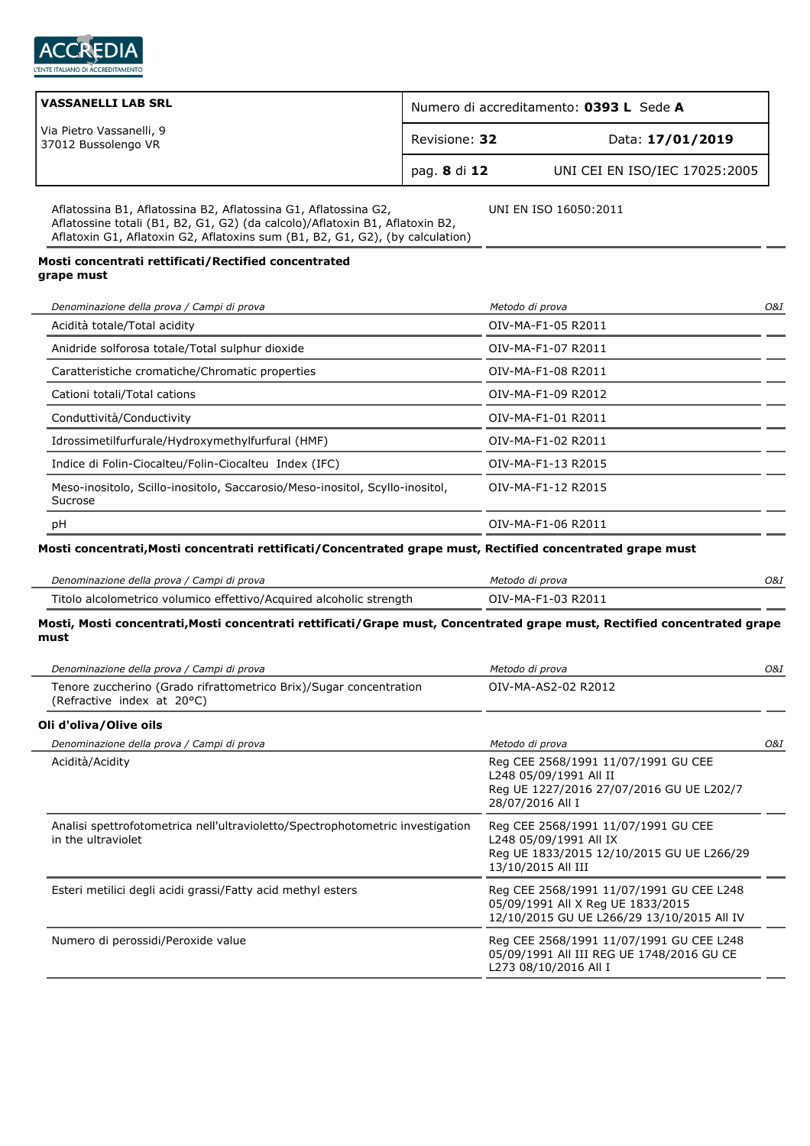

| <b>VASSANELLI LAB SRL</b>                       | Numero di accreditamento: 0393 L Sede A |                               |
|-------------------------------------------------|-----------------------------------------|-------------------------------|
| Via Pietro Vassanelli, 9<br>37012 Bussolengo VR | Revisione: 32                           | Data: 17/01/2019              |
|                                                 | pag. 8 di 12                            | UNI CEI EN ISO/IEC 17025:2005 |

UNI EN ISO 16050:2011

Aflatossina B1, Aflatossina B2, Aflatossina G1, Aflatossina G2, Aflatossine totali (B1, B2, G1, G2) (da calcolo)/Aflatoxin B1, Aflatoxin B2, Aflatoxin G1, Aflatoxin G2, Aflatoxins sum (B1, B2, G1, G2), (by calculation)

#### **Mosti concentrati rettificati/Rectified concentrated grape must**

| Denominazione della prova / Campi di prova                                              | Metodo di prova    | O&I |
|-----------------------------------------------------------------------------------------|--------------------|-----|
| Acidità totale/Total acidity                                                            | OIV-MA-F1-05 R2011 |     |
| Anidride solforosa totale/Total sulphur dioxide                                         | OIV-MA-F1-07 R2011 |     |
| Caratteristiche cromatiche/Chromatic properties                                         | OIV-MA-F1-08 R2011 |     |
| Cationi totali/Total cations                                                            | OIV-MA-F1-09 R2012 |     |
| Conduttività/Conductivity                                                               | OIV-MA-F1-01 R2011 |     |
| Idrossimetilfurfurale/Hydroxymethylfurfural (HMF)                                       | OIV-MA-F1-02 R2011 |     |
| Indice di Folin-Ciocalteu/Folin-Ciocalteu Index (IFC)                                   | OIV-MA-F1-13 R2015 |     |
| Meso-inositolo, Scillo-inositolo, Saccarosio/Meso-inositol, Scyllo-inositol,<br>Sucrose | OIV-MA-F1-12 R2015 |     |
| рH                                                                                      | OIV-MA-F1-06 R2011 |     |
|                                                                                         |                    |     |

## **Mosti concentrati,Mosti concentrati rettificati/Concentrated grape must, Rectified concentrated grape must**

| Denominazione della prova / Campi di prova                          | Metodo di prova    | O&I |
|---------------------------------------------------------------------|--------------------|-----|
| Titolo alcolometrico volumico effettivo/Acquired alcoholic strength | OIV-MA-F1-03 R2011 |     |

## **Mosti, Mosti concentrati,Mosti concentrati rettificati/Grape must, Concentrated grape must, Rectified concentrated grape must**

| Denominazione della prova / Campi di prova                                                           | Metodo di prova                                                                                                                  | O&I |
|------------------------------------------------------------------------------------------------------|----------------------------------------------------------------------------------------------------------------------------------|-----|
| Tenore zuccherino (Grado rifrattometrico Brix)/Sugar concentration<br>(Refractive index at 20°C)     | OIV-MA-AS2-02 R2012                                                                                                              |     |
| Oli d'oliva/Olive oils                                                                               |                                                                                                                                  |     |
| Denominazione della prova / Campi di prova                                                           | Metodo di prova                                                                                                                  | O&I |
| Acidità/Acidity                                                                                      | Reg CEE 2568/1991 11/07/1991 GU CEE<br>L248 05/09/1991 All II<br>Reg UE 1227/2016 27/07/2016 GU UE L202/7<br>28/07/2016 All I    |     |
| Analisi spettrofotometrica nell'ultravioletto/Spectrophotometric investigation<br>in the ultraviolet | Reg CEE 2568/1991 11/07/1991 GU CEE<br>L248 05/09/1991 All IX<br>Reg UE 1833/2015 12/10/2015 GU UE L266/29<br>13/10/2015 All III |     |
| Esteri metilici degli acidi grassi/Fatty acid methyl esters                                          | Reg CEE 2568/1991 11/07/1991 GU CEE L248<br>05/09/1991 All X Reg UE 1833/2015<br>12/10/2015 GU UE L266/29 13/10/2015 All IV      |     |
| Numero di perossidi/Peroxide value                                                                   | Reg CEE 2568/1991 11/07/1991 GU CEE L248<br>05/09/1991 All III REG UE 1748/2016 GU CE<br>L273 08/10/2016 All I                   |     |
|                                                                                                      |                                                                                                                                  |     |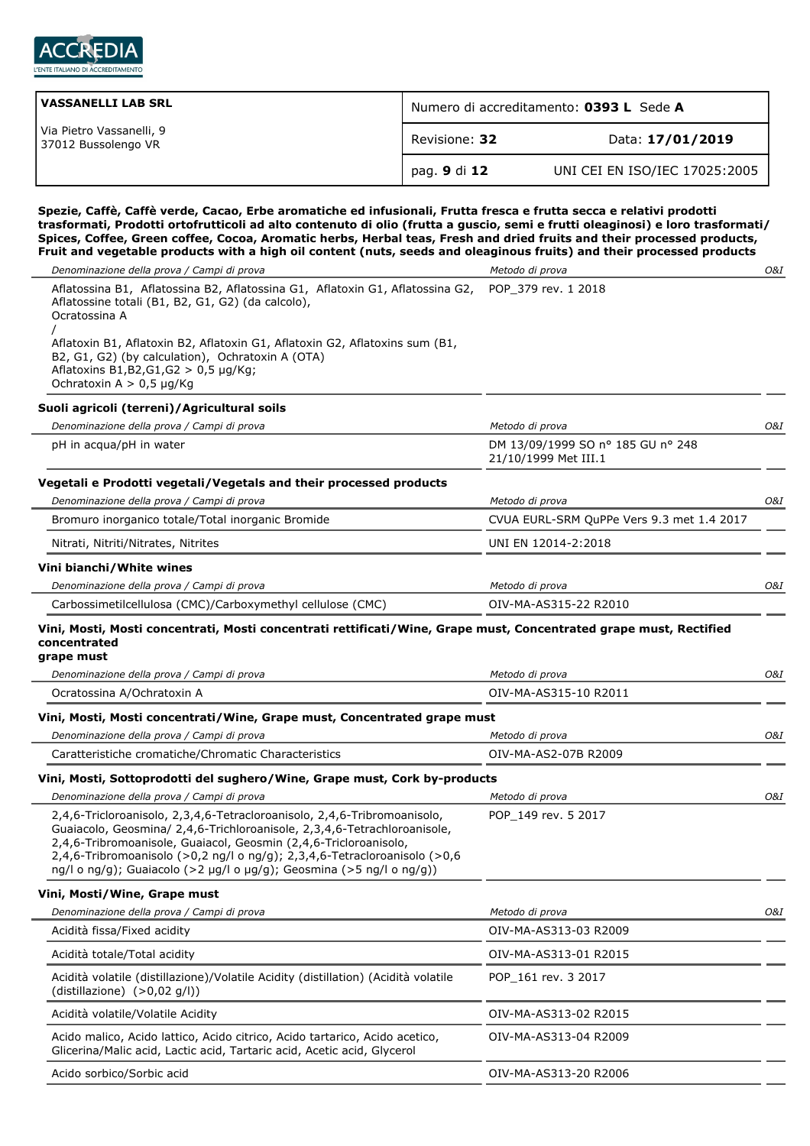

| VASSANELLI LAB SRL                              | Numero di accreditamento: 0393 L Sede A |                               |
|-------------------------------------------------|-----------------------------------------|-------------------------------|
| Via Pietro Vassanelli, 9<br>37012 Bussolengo VR | Revisione: 32                           | Data: 17/01/2019              |
|                                                 | pag. 9 di 12                            | UNI CEI EN ISO/IEC 17025:2005 |

**Spezie, Caffè, Caffè verde, Cacao, Erbe aromatiche ed infusionali, Frutta fresca e frutta secca e relativi prodotti trasformati, Prodotti ortofrutticoli ad alto contenuto di olio (frutta a guscio, semi e frutti oleaginosi) e loro trasformati/ Spices, Coffee, Green coffee, Cocoa, Aromatic herbs, Herbal teas, Fresh and dried fruits and their processed products, Fruit and vegetable products with a high oil content (nuts, seeds and oleaginous fruits) and their processed products**

| Denominazione della prova / Campi di prova                                                                                                                                                                                                                                                                                                                                    | Metodo di prova                                           | 0&I |
|-------------------------------------------------------------------------------------------------------------------------------------------------------------------------------------------------------------------------------------------------------------------------------------------------------------------------------------------------------------------------------|-----------------------------------------------------------|-----|
| Aflatossina B1, Aflatossina B2, Aflatossina G1, Aflatoxin G1, Aflatossina G2,<br>Aflatossine totali (B1, B2, G1, G2) (da calcolo),<br>Ocratossina A                                                                                                                                                                                                                           | POP 379 rev. 1 2018                                       |     |
| Aflatoxin B1, Aflatoxin B2, Aflatoxin G1, Aflatoxin G2, Aflatoxins sum (B1,<br>B2, G1, G2) (by calculation), Ochratoxin A (OTA)<br>Aflatoxins B1, B2, G1, G2 > 0, 5 µg/Kg;<br>Ochratoxin A $> 0.5$ µg/Kg                                                                                                                                                                      |                                                           |     |
| Suoli agricoli (terreni)/Agricultural soils                                                                                                                                                                                                                                                                                                                                   |                                                           |     |
| Denominazione della prova / Campi di prova                                                                                                                                                                                                                                                                                                                                    | Metodo di prova                                           | O&I |
| pH in acqua/pH in water                                                                                                                                                                                                                                                                                                                                                       | DM 13/09/1999 SO nº 185 GU nº 248<br>21/10/1999 Met III.1 |     |
| Vegetali e Prodotti vegetali/Vegetals and their processed products                                                                                                                                                                                                                                                                                                            |                                                           |     |
| Denominazione della prova / Campi di prova                                                                                                                                                                                                                                                                                                                                    | Metodo di prova                                           | 0&I |
| Bromuro inorganico totale/Total inorganic Bromide                                                                                                                                                                                                                                                                                                                             | CVUA EURL-SRM QuPPe Vers 9.3 met 1.4 2017                 |     |
| Nitrati, Nitriti/Nitrates, Nitrites                                                                                                                                                                                                                                                                                                                                           | UNI EN 12014-2:2018                                       |     |
| Vini bianchi/White wines                                                                                                                                                                                                                                                                                                                                                      |                                                           |     |
| Denominazione della prova / Campi di prova                                                                                                                                                                                                                                                                                                                                    | Metodo di prova                                           | O&I |
| Carbossimetilcellulosa (CMC)/Carboxymethyl cellulose (CMC)                                                                                                                                                                                                                                                                                                                    | OIV-MA-AS315-22 R2010                                     |     |
| Vini, Mosti, Mosti concentrati, Mosti concentrati rettificati/Wine, Grape must, Concentrated grape must, Rectified<br>concentrated<br>grape must                                                                                                                                                                                                                              |                                                           |     |
| Denominazione della prova / Campi di prova                                                                                                                                                                                                                                                                                                                                    | Metodo di prova                                           | O&I |
| Ocratossina A/Ochratoxin A                                                                                                                                                                                                                                                                                                                                                    | OIV-MA-AS315-10 R2011                                     |     |
| Vini, Mosti, Mosti concentrati/Wine, Grape must, Concentrated grape must                                                                                                                                                                                                                                                                                                      |                                                           |     |
| Denominazione della prova / Campi di prova                                                                                                                                                                                                                                                                                                                                    | Metodo di prova                                           | O&I |
| Caratteristiche cromatiche/Chromatic Characteristics                                                                                                                                                                                                                                                                                                                          | OIV-MA-AS2-07B R2009                                      |     |
| Vini, Mosti, Sottoprodotti del sughero/Wine, Grape must, Cork by-products                                                                                                                                                                                                                                                                                                     |                                                           |     |
| Denominazione della prova / Campi di prova                                                                                                                                                                                                                                                                                                                                    | Metodo di prova                                           | 0&I |
| 2,4,6-Tricloroanisolo, 2,3,4,6-Tetracloroanisolo, 2,4,6-Tribromoanisolo,<br>Guaiacolo, Geosmina/ 2,4,6-Trichloroanisole, 2,3,4,6-Tetrachloroanisole,<br>2,4,6-Tribromoanisole, Guaiacol, Geosmin (2,4,6-Tricloroanisolo,<br>2,4,6-Tribromoanisolo (>0,2 ng/l o ng/g); 2,3,4,6-Tetracloroanisolo (>0,6<br>ng/l o ng/g); Guaiacolo (>2 µg/l o µg/g); Geosmina (>5 ng/l o ng/g)) | POP_149 rev. 5 2017                                       |     |
| Vini, Mosti/Wine, Grape must                                                                                                                                                                                                                                                                                                                                                  |                                                           |     |
| Denominazione della prova / Campi di prova                                                                                                                                                                                                                                                                                                                                    | Metodo di prova                                           | O&I |
| Acidità fissa/Fixed acidity                                                                                                                                                                                                                                                                                                                                                   | OIV-MA-AS313-03 R2009                                     |     |
| Acidità totale/Total acidity                                                                                                                                                                                                                                                                                                                                                  | OIV-MA-AS313-01 R2015                                     |     |
| Acidità volatile (distillazione)/Volatile Acidity (distillation) (Acidità volatile<br>(distillazione) $(>0.02$ q/l))                                                                                                                                                                                                                                                          | POP 161 rev. 3 2017                                       |     |
| Acidità volatile/Volatile Acidity                                                                                                                                                                                                                                                                                                                                             | OIV-MA-AS313-02 R2015                                     |     |
| Acido malico, Acido lattico, Acido citrico, Acido tartarico, Acido acetico,<br>Glicerina/Malic acid, Lactic acid, Tartaric acid, Acetic acid, Glycerol                                                                                                                                                                                                                        | OIV-MA-AS313-04 R2009                                     |     |
| Acido sorbico/Sorbic acid                                                                                                                                                                                                                                                                                                                                                     | OIV-MA-AS313-20 R2006                                     |     |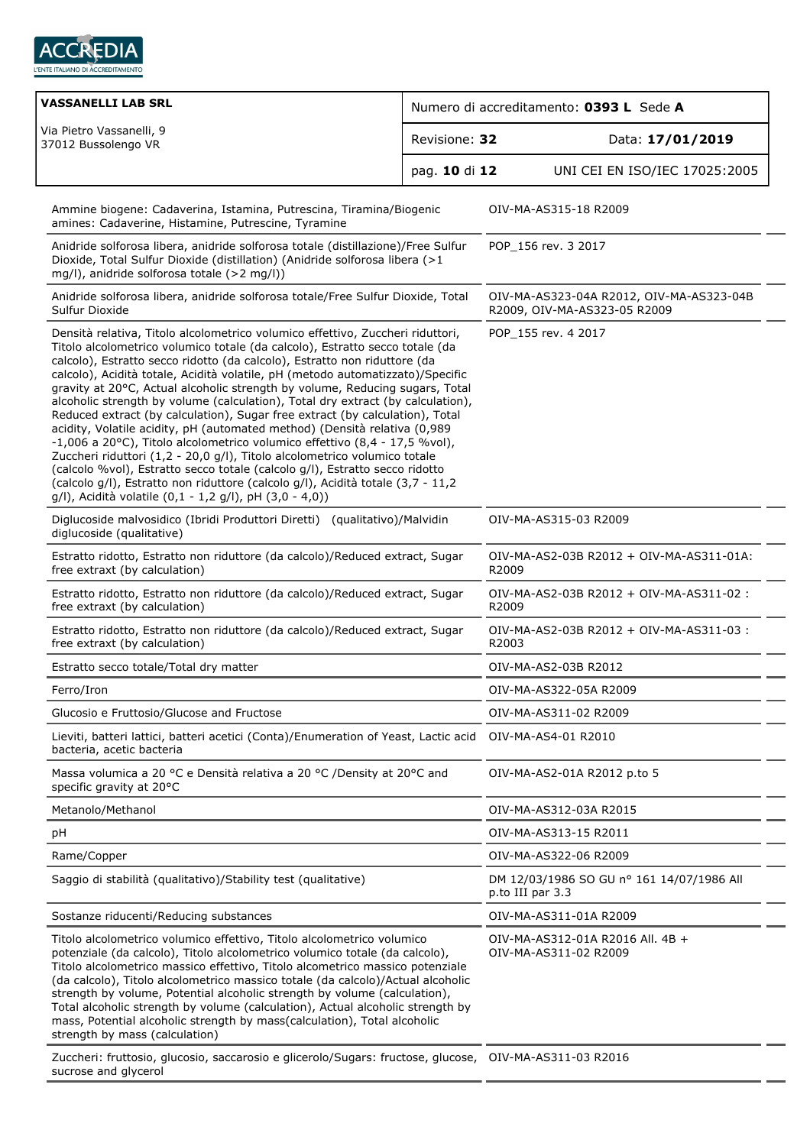

| <b>VASSANELLI LAB SRL</b>                                                                                                                                                                                                                                                                                                                                                                                                                                                                                                                                                                                                                                                                                                                                                                                                                                                                                                                                                                                                                             | Numero di accreditamento: 0393 L Sede A |                                                                          |                               |  |
|-------------------------------------------------------------------------------------------------------------------------------------------------------------------------------------------------------------------------------------------------------------------------------------------------------------------------------------------------------------------------------------------------------------------------------------------------------------------------------------------------------------------------------------------------------------------------------------------------------------------------------------------------------------------------------------------------------------------------------------------------------------------------------------------------------------------------------------------------------------------------------------------------------------------------------------------------------------------------------------------------------------------------------------------------------|-----------------------------------------|--------------------------------------------------------------------------|-------------------------------|--|
| Via Pietro Vassanelli, 9<br>Revisione: 32<br>37012 Bussolengo VR<br>pag. 10 di 12                                                                                                                                                                                                                                                                                                                                                                                                                                                                                                                                                                                                                                                                                                                                                                                                                                                                                                                                                                     |                                         |                                                                          | Data: 17/01/2019              |  |
|                                                                                                                                                                                                                                                                                                                                                                                                                                                                                                                                                                                                                                                                                                                                                                                                                                                                                                                                                                                                                                                       |                                         |                                                                          | UNI CEI EN ISO/IEC 17025:2005 |  |
| Ammine biogene: Cadaverina, Istamina, Putrescina, Tiramina/Biogenic<br>amines: Cadaverine, Histamine, Putrescine, Tyramine                                                                                                                                                                                                                                                                                                                                                                                                                                                                                                                                                                                                                                                                                                                                                                                                                                                                                                                            |                                         |                                                                          | OIV-MA-AS315-18 R2009         |  |
| Anidride solforosa libera, anidride solforosa totale (distillazione)/Free Sulfur<br>Dioxide, Total Sulfur Dioxide (distillation) (Anidride solforosa libera (>1<br>mg/l), anidride solforosa totale (>2 mg/l))                                                                                                                                                                                                                                                                                                                                                                                                                                                                                                                                                                                                                                                                                                                                                                                                                                        |                                         | POP_156 rev. 3 2017                                                      |                               |  |
| Anidride solforosa libera, anidride solforosa totale/Free Sulfur Dioxide, Total<br>Sulfur Dioxide                                                                                                                                                                                                                                                                                                                                                                                                                                                                                                                                                                                                                                                                                                                                                                                                                                                                                                                                                     |                                         | OIV-MA-AS323-04A R2012, OIV-MA-AS323-04B<br>R2009, OIV-MA-AS323-05 R2009 |                               |  |
| Densità relativa, Titolo alcolometrico volumico effettivo, Zuccheri riduttori,<br>Titolo alcolometrico volumico totale (da calcolo), Estratto secco totale (da<br>calcolo), Estratto secco ridotto (da calcolo), Estratto non riduttore (da<br>calcolo), Acidità totale, Acidità volatile, pH (metodo automatizzato)/Specific<br>gravity at 20°C, Actual alcoholic strength by volume, Reducing sugars, Total<br>alcoholic strength by volume (calculation), Total dry extract (by calculation),<br>Reduced extract (by calculation), Sugar free extract (by calculation), Total<br>acidity, Volatile acidity, pH (automated method) (Densità relativa (0,989<br>-1,006 a 20°C), Titolo alcolometrico volumico effettivo (8,4 - 17,5 %vol),<br>Zuccheri riduttori (1,2 - 20,0 g/l), Titolo alcolometrico volumico totale<br>(calcolo %vol), Estratto secco totale (calcolo g/l), Estratto secco ridotto<br>(calcolo g/l), Estratto non riduttore (calcolo g/l), Acidità totale (3,7 - 11,2<br>g/l), Acidità volatile (0,1 - 1,2 g/l), pH (3,0 - 4,0)) |                                         | POP 155 rev. 4 2017                                                      |                               |  |
| Diglucoside malvosidico (Ibridi Produttori Diretti) (qualitativo)/Malvidin<br>diglucoside (qualitative)                                                                                                                                                                                                                                                                                                                                                                                                                                                                                                                                                                                                                                                                                                                                                                                                                                                                                                                                               |                                         | OIV-MA-AS315-03 R2009                                                    |                               |  |
| Estratto ridotto, Estratto non riduttore (da calcolo)/Reduced extract, Sugar<br>free extraxt (by calculation)                                                                                                                                                                                                                                                                                                                                                                                                                                                                                                                                                                                                                                                                                                                                                                                                                                                                                                                                         |                                         | OIV-MA-AS2-03B R2012 + OIV-MA-AS311-01A:<br>R2009                        |                               |  |
| Estratto ridotto, Estratto non riduttore (da calcolo)/Reduced extract, Sugar<br>free extraxt (by calculation)                                                                                                                                                                                                                                                                                                                                                                                                                                                                                                                                                                                                                                                                                                                                                                                                                                                                                                                                         |                                         | OIV-MA-AS2-03B R2012 + OIV-MA-AS311-02 :<br>R2009                        |                               |  |
| Estratto ridotto, Estratto non riduttore (da calcolo)/Reduced extract, Sugar<br>free extraxt (by calculation)                                                                                                                                                                                                                                                                                                                                                                                                                                                                                                                                                                                                                                                                                                                                                                                                                                                                                                                                         |                                         | OIV-MA-AS2-03B R2012 + OIV-MA-AS311-03 :<br>R2003                        |                               |  |
| Estratto secco totale/Total dry matter                                                                                                                                                                                                                                                                                                                                                                                                                                                                                                                                                                                                                                                                                                                                                                                                                                                                                                                                                                                                                |                                         | OIV-MA-AS2-03B R2012                                                     |                               |  |
| Ferro/Iron                                                                                                                                                                                                                                                                                                                                                                                                                                                                                                                                                                                                                                                                                                                                                                                                                                                                                                                                                                                                                                            |                                         | OIV-MA-AS322-05A R2009                                                   |                               |  |
| Glucosio e Fruttosio/Glucose and Fructose                                                                                                                                                                                                                                                                                                                                                                                                                                                                                                                                                                                                                                                                                                                                                                                                                                                                                                                                                                                                             |                                         | OIV-MA-AS311-02 R2009                                                    |                               |  |
| Lieviti, batteri lattici, batteri acetici (Conta)/Enumeration of Yeast, Lactic acid<br>bacteria, acetic bacteria                                                                                                                                                                                                                                                                                                                                                                                                                                                                                                                                                                                                                                                                                                                                                                                                                                                                                                                                      |                                         | OIV-MA-AS4-01 R2010                                                      |                               |  |
| Massa volumica a 20 °C e Densità relativa a 20 °C /Density at 20°C and<br>specific gravity at 20°C                                                                                                                                                                                                                                                                                                                                                                                                                                                                                                                                                                                                                                                                                                                                                                                                                                                                                                                                                    |                                         | OIV-MA-AS2-01A R2012 p.to 5                                              |                               |  |
| Metanolo/Methanol                                                                                                                                                                                                                                                                                                                                                                                                                                                                                                                                                                                                                                                                                                                                                                                                                                                                                                                                                                                                                                     |                                         | OIV-MA-AS312-03A R2015                                                   |                               |  |
| pH                                                                                                                                                                                                                                                                                                                                                                                                                                                                                                                                                                                                                                                                                                                                                                                                                                                                                                                                                                                                                                                    |                                         | OIV-MA-AS313-15 R2011                                                    |                               |  |
| Rame/Copper                                                                                                                                                                                                                                                                                                                                                                                                                                                                                                                                                                                                                                                                                                                                                                                                                                                                                                                                                                                                                                           |                                         | OIV-MA-AS322-06 R2009                                                    |                               |  |
| Saggio di stabilità (qualitativo)/Stability test (qualitative)                                                                                                                                                                                                                                                                                                                                                                                                                                                                                                                                                                                                                                                                                                                                                                                                                                                                                                                                                                                        |                                         | DM 12/03/1986 SO GU nº 161 14/07/1986 All<br>p.to III par 3.3            |                               |  |
| Sostanze riducenti/Reducing substances                                                                                                                                                                                                                                                                                                                                                                                                                                                                                                                                                                                                                                                                                                                                                                                                                                                                                                                                                                                                                |                                         | OIV-MA-AS311-01A R2009                                                   |                               |  |
| Titolo alcolometrico volumico effettivo, Titolo alcolometrico volumico<br>potenziale (da calcolo), Titolo alcolometrico volumico totale (da calcolo),<br>Titolo alcolometrico massico effettivo, Titolo alcometrico massico potenziale<br>(da calcolo), Titolo alcolometrico massico totale (da calcolo)/Actual alcoholic<br>strength by volume, Potential alcoholic strength by volume (calculation),<br>Total alcoholic strength by volume (calculation), Actual alcoholic strength by<br>mass, Potential alcoholic strength by mass(calculation), Total alcoholic<br>strength by mass (calculation)                                                                                                                                                                                                                                                                                                                                                                                                                                                |                                         | OIV-MA-AS312-01A R2016 All. 4B +<br>OIV-MA-AS311-02 R2009                |                               |  |
| Zuccheri: fruttosio, glucosio, saccarosio e glicerolo/Sugars: fructose, glucose, OIV-MA-AS311-03 R2016<br>sucrose and glycerol                                                                                                                                                                                                                                                                                                                                                                                                                                                                                                                                                                                                                                                                                                                                                                                                                                                                                                                        |                                         |                                                                          |                               |  |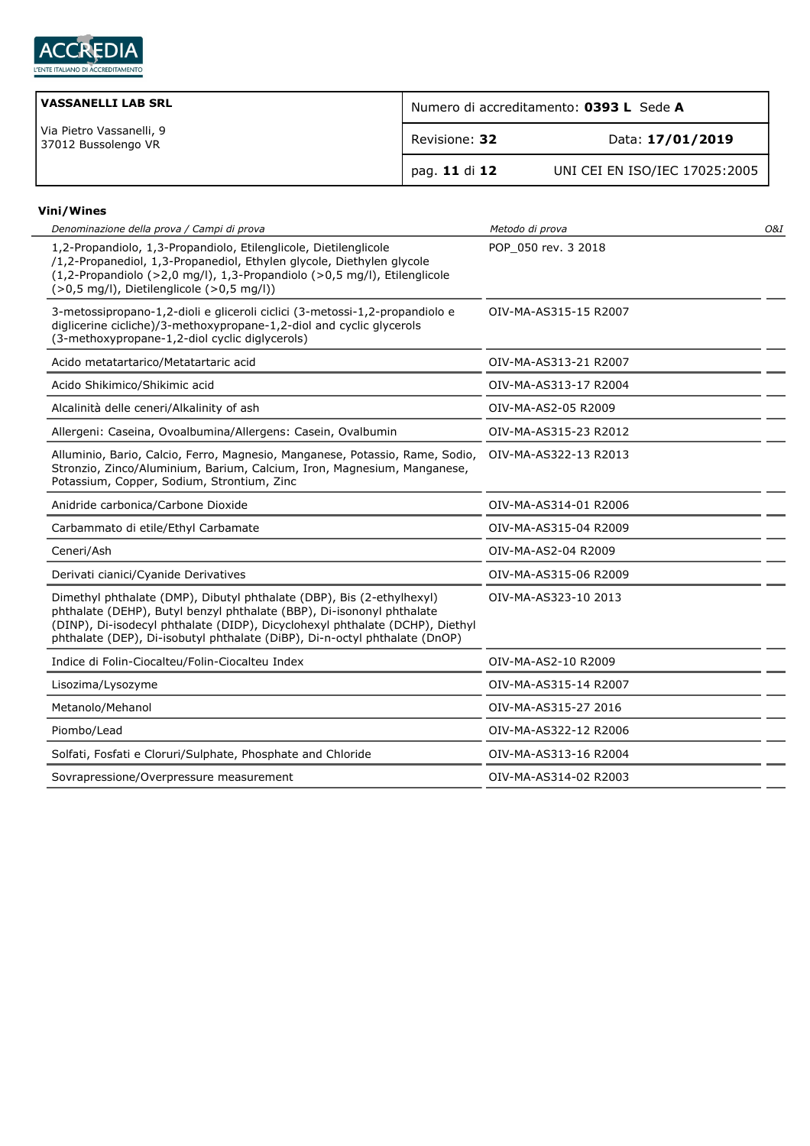

| <b>VASSANELLI LAB SRL</b>                       | Numero di accreditamento: 0393 L Sede A |                               |
|-------------------------------------------------|-----------------------------------------|-------------------------------|
| Via Pietro Vassanelli, 9<br>37012 Bussolengo VR | Revisione: 32                           | Data: 17/01/2019              |
|                                                 | pag. 11 di 12                           | UNI CEI EN ISO/IEC 17025:2005 |

## **Vini/Wines**

| Denominazione della prova / Campi di prova                                                                                                                                                                                                                                                                   | Metodo di prova       | <b>O&amp;I</b> |
|--------------------------------------------------------------------------------------------------------------------------------------------------------------------------------------------------------------------------------------------------------------------------------------------------------------|-----------------------|----------------|
| 1,2-Propandiolo, 1,3-Propandiolo, Etilenglicole, Dietilenglicole<br>/1,2-Propanediol, 1,3-Propanediol, Ethylen glycole, Diethylen glycole<br>(1,2-Propandiolo (>2,0 mg/l), 1,3-Propandiolo (>0,5 mg/l), Etilenglicole<br>$(>0.5$ mg/l), Dietilenglicole $(>0.5$ mg/l))                                       | POP 050 rev. 3 2018   |                |
| 3-metossipropano-1,2-dioli e gliceroli ciclici (3-metossi-1,2-propandiolo e<br>diglicerine cicliche)/3-methoxypropane-1,2-diol and cyclic glycerols<br>(3-methoxypropane-1,2-diol cyclic diglycerols)                                                                                                        | OIV-MA-AS315-15 R2007 |                |
| Acido metatartarico/Metatartaric acid                                                                                                                                                                                                                                                                        | OIV-MA-AS313-21 R2007 |                |
| Acido Shikimico/Shikimic acid                                                                                                                                                                                                                                                                                | OIV-MA-AS313-17 R2004 |                |
| Alcalinità delle ceneri/Alkalinity of ash                                                                                                                                                                                                                                                                    | OIV-MA-AS2-05 R2009   |                |
| Allergeni: Caseina, Ovoalbumina/Allergens: Casein, Ovalbumin                                                                                                                                                                                                                                                 | OIV-MA-AS315-23 R2012 |                |
| Alluminio, Bario, Calcio, Ferro, Magnesio, Manganese, Potassio, Rame, Sodio,<br>Stronzio, Zinco/Aluminium, Barium, Calcium, Iron, Magnesium, Manganese,<br>Potassium, Copper, Sodium, Strontium, Zinc                                                                                                        | OIV-MA-AS322-13 R2013 |                |
| Anidride carbonica/Carbone Dioxide                                                                                                                                                                                                                                                                           | OIV-MA-AS314-01 R2006 |                |
| Carbammato di etile/Ethyl Carbamate                                                                                                                                                                                                                                                                          | OIV-MA-AS315-04 R2009 |                |
| Ceneri/Ash                                                                                                                                                                                                                                                                                                   | OIV-MA-AS2-04 R2009   |                |
| Derivati cianici/Cyanide Derivatives                                                                                                                                                                                                                                                                         | OIV-MA-AS315-06 R2009 |                |
| Dimethyl phthalate (DMP), Dibutyl phthalate (DBP), Bis (2-ethylhexyl)<br>phthalate (DEHP), Butyl benzyl phthalate (BBP), Di-isononyl phthalate<br>(DINP), Di-isodecyl phthalate (DIDP), Dicyclohexyl phthalate (DCHP), Diethyl<br>phthalate (DEP), Di-isobutyl phthalate (DiBP), Di-n-octyl phthalate (DnOP) | OIV-MA-AS323-10 2013  |                |
| Indice di Folin-Ciocalteu/Folin-Ciocalteu Index                                                                                                                                                                                                                                                              | OIV-MA-AS2-10 R2009   |                |
| Lisozima/Lysozyme                                                                                                                                                                                                                                                                                            | OIV-MA-AS315-14 R2007 |                |
| Metanolo/Mehanol                                                                                                                                                                                                                                                                                             | OIV-MA-AS315-27 2016  |                |
| Piombo/Lead                                                                                                                                                                                                                                                                                                  | OIV-MA-AS322-12 R2006 |                |
| Solfati, Fosfati e Cloruri/Sulphate, Phosphate and Chloride                                                                                                                                                                                                                                                  | OIV-MA-AS313-16 R2004 |                |
| Sovrapressione/Overpressure measurement                                                                                                                                                                                                                                                                      | OIV-MA-AS314-02 R2003 |                |
|                                                                                                                                                                                                                                                                                                              |                       |                |